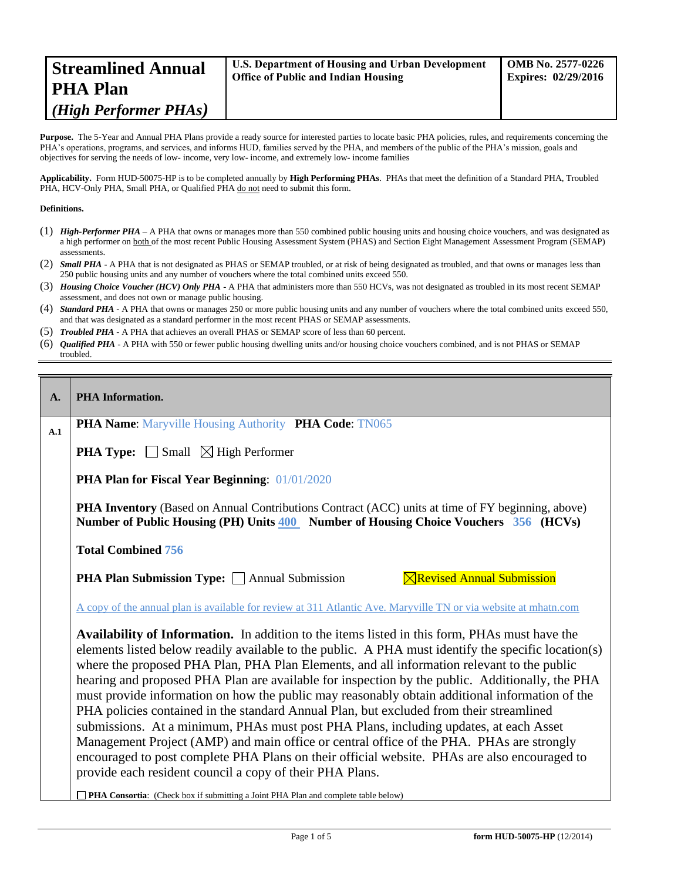| <b>Streamlined Annual</b> | U.S. Department of Housing and Urban Development | <b>OMB No. 2577-0226</b>   |
|---------------------------|--------------------------------------------------|----------------------------|
| PHA Plan                  | <b>Office of Public and Indian Housing</b>       | <b>Expires: 02/29/2016</b> |
| (High Performer PHAs)     |                                                  |                            |

Purpose. The 5-Year and Annual PHA Plans provide a ready source for interested parties to locate basic PHA policies, rules, and requirements concerning the PHA's operations, programs, and services, and informs HUD, families served by the PHA, and members of the public of the PHA's mission, goals and objectives for serving the needs of low- income, very low- income, and extremely low- income families

**Applicability.** Form HUD-50075-HP is to be completed annually by **High Performing PHAs**. PHAs that meet the definition of a Standard PHA, Troubled PHA, HCV-Only PHA, Small PHA, or Qualified PHA do not need to submit this form.

#### **Definitions.**

- (1) *High-Performer PHA* A PHA that owns or manages more than 550 combined public housing units and housing choice vouchers, and was designated as a high performer on both of the most recent Public Housing Assessment System (PHAS) and Section Eight Management Assessment Program (SEMAP) assessments.
- (2) *Small PHA* A PHA that is not designated as PHAS or SEMAP troubled, or at risk of being designated as troubled, and that owns or manages less than 250 public housing units and any number of vouchers where the total combined units exceed 550.
- (3) *Housing Choice Voucher (HCV) Only PHA* A PHA that administers more than 550 HCVs, was not designated as troubled in its most recent SEMAP assessment, and does not own or manage public housing.
- (4) *Standard PHA* A PHA that owns or manages 250 or more public housing units and any number of vouchers where the total combined units exceed 550, and that was designated as a standard performer in the most recent PHAS or SEMAP assessments.
- (5) *Troubled PHA* **-** A PHA that achieves an overall PHAS or SEMAP score of less than 60 percent.
- (6) *Qualified PHA* A PHA with 550 or fewer public housing dwelling units and/or housing choice vouchers combined, and is not PHAS or SEMAP troubled.

| $\mathbf{A}$ . | <b>PHA</b> Information.                                                                                                                                                                                                                                                                                                                                                                                                                                                                                                                                                                                                                                                                                                                                                                                                                                                                                                                             |
|----------------|-----------------------------------------------------------------------------------------------------------------------------------------------------------------------------------------------------------------------------------------------------------------------------------------------------------------------------------------------------------------------------------------------------------------------------------------------------------------------------------------------------------------------------------------------------------------------------------------------------------------------------------------------------------------------------------------------------------------------------------------------------------------------------------------------------------------------------------------------------------------------------------------------------------------------------------------------------|
| A.1            | <b>PHA Name:</b> Maryville Housing Authority PHA Code: TN065                                                                                                                                                                                                                                                                                                                                                                                                                                                                                                                                                                                                                                                                                                                                                                                                                                                                                        |
|                | <b>PHA Type:</b> $\Box$ Small $\boxtimes$ High Performer                                                                                                                                                                                                                                                                                                                                                                                                                                                                                                                                                                                                                                                                                                                                                                                                                                                                                            |
|                | <b>PHA Plan for Fiscal Year Beginning: 01/01/2020</b>                                                                                                                                                                                                                                                                                                                                                                                                                                                                                                                                                                                                                                                                                                                                                                                                                                                                                               |
|                | <b>PHA Inventory</b> (Based on Annual Contributions Contract (ACC) units at time of FY beginning, above)<br>Number of Public Housing (PH) Units 400 Number of Housing Choice Vouchers 356 (HCVs)                                                                                                                                                                                                                                                                                                                                                                                                                                                                                                                                                                                                                                                                                                                                                    |
|                | <b>Total Combined 756</b>                                                                                                                                                                                                                                                                                                                                                                                                                                                                                                                                                                                                                                                                                                                                                                                                                                                                                                                           |
|                | $\boxtimes$ Revised Annual Submission<br><b>PHA Plan Submission Type:</b> Annual Submission                                                                                                                                                                                                                                                                                                                                                                                                                                                                                                                                                                                                                                                                                                                                                                                                                                                         |
|                | A copy of the annual plan is available for review at 311 Atlantic Ave. Maryville TN or via website at mhatn.com                                                                                                                                                                                                                                                                                                                                                                                                                                                                                                                                                                                                                                                                                                                                                                                                                                     |
|                | Availability of Information. In addition to the items listed in this form, PHAs must have the<br>elements listed below readily available to the public. A PHA must identify the specific location(s)<br>where the proposed PHA Plan, PHA Plan Elements, and all information relevant to the public<br>hearing and proposed PHA Plan are available for inspection by the public. Additionally, the PHA<br>must provide information on how the public may reasonably obtain additional information of the<br>PHA policies contained in the standard Annual Plan, but excluded from their streamlined<br>submissions. At a minimum, PHAs must post PHA Plans, including updates, at each Asset<br>Management Project (AMP) and main office or central office of the PHA. PHAs are strongly<br>encouraged to post complete PHA Plans on their official website. PHAs are also encouraged to<br>provide each resident council a copy of their PHA Plans. |
|                | PHA Consortia: (Check box if submitting a Joint PHA Plan and complete table below)                                                                                                                                                                                                                                                                                                                                                                                                                                                                                                                                                                                                                                                                                                                                                                                                                                                                  |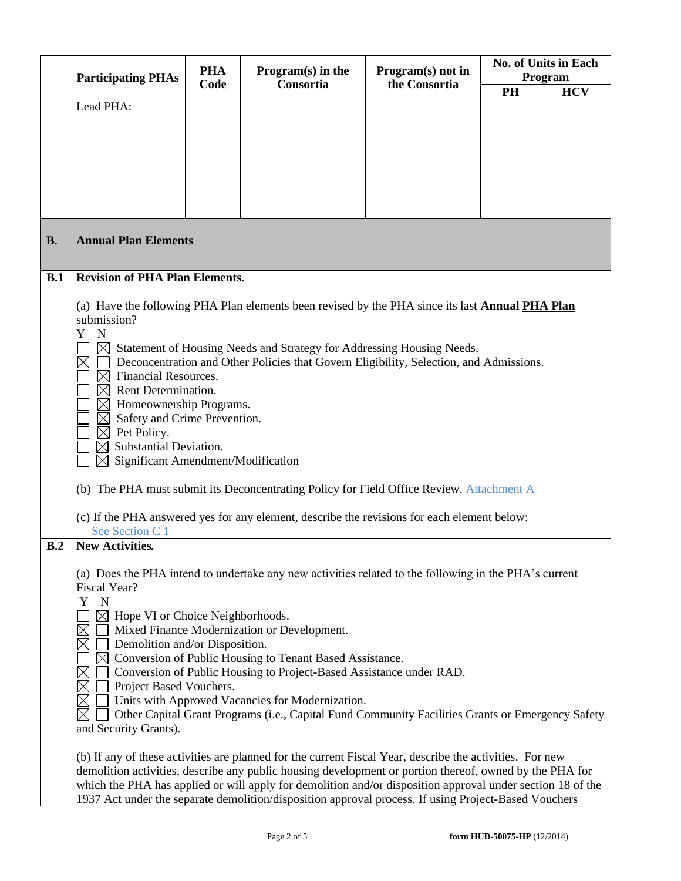|           | <b>Participating PHAs</b>                                                                                                                                                          | <b>PHA</b> | $Program(s)$ in the                                                                                                                                             | Program(s) not in | <b>No. of Units in Each</b><br>Program |            |
|-----------|------------------------------------------------------------------------------------------------------------------------------------------------------------------------------------|------------|-----------------------------------------------------------------------------------------------------------------------------------------------------------------|-------------------|----------------------------------------|------------|
|           |                                                                                                                                                                                    | Code       | Consortia                                                                                                                                                       | the Consortia     | <b>PH</b>                              | <b>HCV</b> |
|           | Lead PHA:                                                                                                                                                                          |            |                                                                                                                                                                 |                   |                                        |            |
|           |                                                                                                                                                                                    |            |                                                                                                                                                                 |                   |                                        |            |
|           |                                                                                                                                                                                    |            |                                                                                                                                                                 |                   |                                        |            |
|           |                                                                                                                                                                                    |            |                                                                                                                                                                 |                   |                                        |            |
|           |                                                                                                                                                                                    |            |                                                                                                                                                                 |                   |                                        |            |
|           |                                                                                                                                                                                    |            |                                                                                                                                                                 |                   |                                        |            |
| <b>B.</b> | <b>Annual Plan Elements</b>                                                                                                                                                        |            |                                                                                                                                                                 |                   |                                        |            |
|           |                                                                                                                                                                                    |            |                                                                                                                                                                 |                   |                                        |            |
| B.1       | <b>Revision of PHA Plan Elements.</b>                                                                                                                                              |            |                                                                                                                                                                 |                   |                                        |            |
|           |                                                                                                                                                                                    |            | (a) Have the following PHA Plan elements been revised by the PHA since its last Annual PHA Plan                                                                 |                   |                                        |            |
|           | submission?                                                                                                                                                                        |            |                                                                                                                                                                 |                   |                                        |            |
|           | Y<br>${\bf N}$                                                                                                                                                                     |            |                                                                                                                                                                 |                   |                                        |            |
|           | $\times$                                                                                                                                                                           |            | Statement of Housing Needs and Strategy for Addressing Housing Needs.<br>Deconcentration and Other Policies that Govern Eligibility, Selection, and Admissions. |                   |                                        |            |
|           | Financial Resources.<br>$\boxtimes$                                                                                                                                                |            |                                                                                                                                                                 |                   |                                        |            |
|           | Rent Determination.                                                                                                                                                                |            |                                                                                                                                                                 |                   |                                        |            |
|           | Homeownership Programs.<br>$\times$<br>Safety and Crime Prevention.<br>$\boxtimes$                                                                                                 |            |                                                                                                                                                                 |                   |                                        |            |
|           | $\boxtimes$ Pet Policy.                                                                                                                                                            |            |                                                                                                                                                                 |                   |                                        |            |
|           | Substantial Deviation.<br>$\boxtimes$                                                                                                                                              |            |                                                                                                                                                                 |                   |                                        |            |
|           | $\boxtimes$<br>Significant Amendment/Modification                                                                                                                                  |            |                                                                                                                                                                 |                   |                                        |            |
|           |                                                                                                                                                                                    |            | (b) The PHA must submit its Deconcentrating Policy for Field Office Review. Attachment A                                                                        |                   |                                        |            |
|           |                                                                                                                                                                                    |            | (c) If the PHA answered yes for any element, describe the revisions for each element below:                                                                     |                   |                                        |            |
| B.2       | See Section C 1<br><b>New Activities.</b>                                                                                                                                          |            |                                                                                                                                                                 |                   |                                        |            |
|           |                                                                                                                                                                                    |            |                                                                                                                                                                 |                   |                                        |            |
|           |                                                                                                                                                                                    |            | (a) Does the PHA intend to undertake any new activities related to the following in the PHA's current                                                           |                   |                                        |            |
|           | Fiscal Year?<br>Y<br>$\mathbf N$                                                                                                                                                   |            |                                                                                                                                                                 |                   |                                        |            |
|           | $\boxtimes$<br>Hope VI or Choice Neighborhoods.                                                                                                                                    |            |                                                                                                                                                                 |                   |                                        |            |
|           | $\boxtimes$                                                                                                                                                                        |            | Mixed Finance Modernization or Development.                                                                                                                     |                   |                                        |            |
|           | $\boxtimes$<br>Demolition and/or Disposition.<br>$\boxtimes$                                                                                                                       |            | Conversion of Public Housing to Tenant Based Assistance.                                                                                                        |                   |                                        |            |
|           | $\boxtimes$                                                                                                                                                                        |            | Conversion of Public Housing to Project-Based Assistance under RAD.                                                                                             |                   |                                        |            |
|           | Project Based Vouchers.                                                                                                                                                            |            |                                                                                                                                                                 |                   |                                        |            |
|           | $\boxtimes$<br>Units with Approved Vacancies for Modernization.<br>$\boxtimes$<br>Other Capital Grant Programs (i.e., Capital Fund Community Facilities Grants or Emergency Safety |            |                                                                                                                                                                 |                   |                                        |            |
|           | and Security Grants).                                                                                                                                                              |            |                                                                                                                                                                 |                   |                                        |            |
|           |                                                                                                                                                                                    |            | (b) If any of these activities are planned for the current Fiscal Year, describe the activities. For new                                                        |                   |                                        |            |
|           |                                                                                                                                                                                    |            | demolition activities, describe any public housing development or portion thereof, owned by the PHA for                                                         |                   |                                        |            |
|           |                                                                                                                                                                                    |            | which the PHA has applied or will apply for demolition and/or disposition approval under section 18 of the                                                      |                   |                                        |            |
|           |                                                                                                                                                                                    |            | 1937 Act under the separate demolition/disposition approval process. If using Project-Based Vouchers                                                            |                   |                                        |            |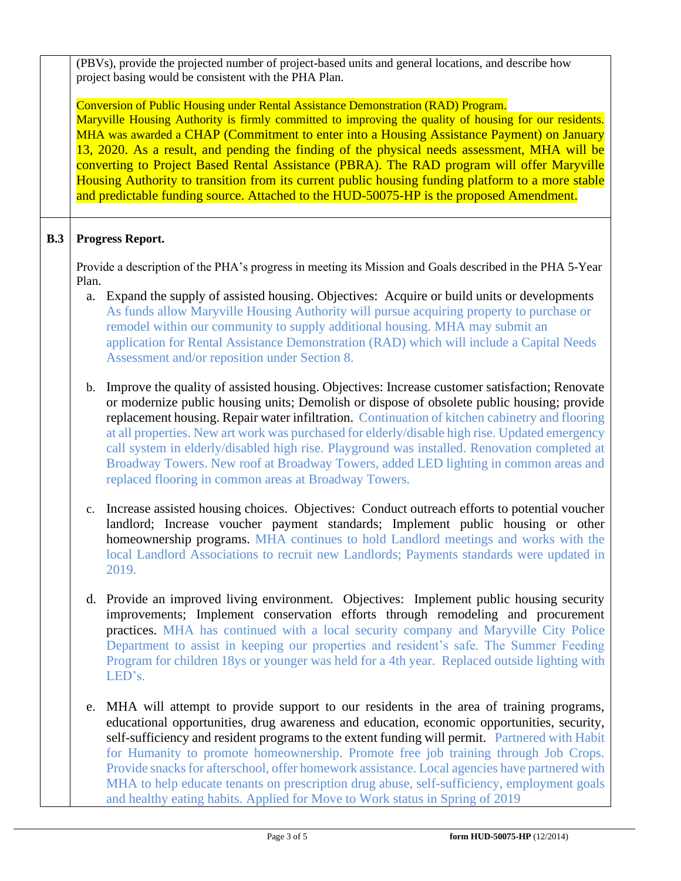(PBVs), provide the projected number of project-based units and general locations, and describe how project basing would be consistent with the PHA Plan.

# Conversion of Public Housing under Rental Assistance Demonstration (RAD) Program.

Maryville Housing Authority is firmly committed to improving the quality of housing for our residents. MHA was awarded a CHAP (Commitment to enter into a Housing Assistance Payment) on January 13, 2020. As a result, and pending the finding of the physical needs assessment, MHA will be converting to Project Based Rental Assistance (PBRA). The RAD program will offer Maryville Housing Authority to transition from its current public housing funding platform to a more stable and predictable funding source. Attached to the HUD-50075-HP is the proposed Amendment.

# **B.3 Progress Report.**

Provide a description of the PHA's progress in meeting its Mission and Goals described in the PHA 5-Year Plan.

- a. Expand the supply of assisted housing. Objectives: Acquire or build units or developments As funds allow Maryville Housing Authority will pursue acquiring property to purchase or remodel within our community to supply additional housing. MHA may submit an application for Rental Assistance Demonstration (RAD) which will include a Capital Needs Assessment and/or reposition under Section 8.
- b. Improve the quality of assisted housing. Objectives: Increase customer satisfaction; Renovate or modernize public housing units; Demolish or dispose of obsolete public housing; provide replacement housing. Repair water infiltration. Continuation of kitchen cabinetry and flooring at all properties. New art work was purchased for elderly/disable high rise. Updated emergency call system in elderly/disabled high rise. Playground was installed. Renovation completed at Broadway Towers. New roof at Broadway Towers, added LED lighting in common areas and replaced flooring in common areas at Broadway Towers.
- c. Increase assisted housing choices. Objectives: Conduct outreach efforts to potential voucher landlord; Increase voucher payment standards; Implement public housing or other homeownership programs. MHA continues to hold Landlord meetings and works with the local Landlord Associations to recruit new Landlords; Payments standards were updated in 2019.
- d. Provide an improved living environment. Objectives: Implement public housing security improvements; Implement conservation efforts through remodeling and procurement practices. MHA has continued with a local security company and Maryville City Police Department to assist in keeping our properties and resident's safe. The Summer Feeding Program for children 18ys or younger was held for a 4th year. Replaced outside lighting with LED's.
- e. MHA will attempt to provide support to our residents in the area of training programs, educational opportunities, drug awareness and education, economic opportunities, security, self-sufficiency and resident programs to the extent funding will permit. Partnered with Habit for Humanity to promote homeownership. Promote free job training through Job Crops. Provide snacks for afterschool, offer homework assistance. Local agencies have partnered with MHA to help educate tenants on prescription drug abuse, self-sufficiency, employment goals and healthy eating habits. Applied for Move to Work status in Spring of 2019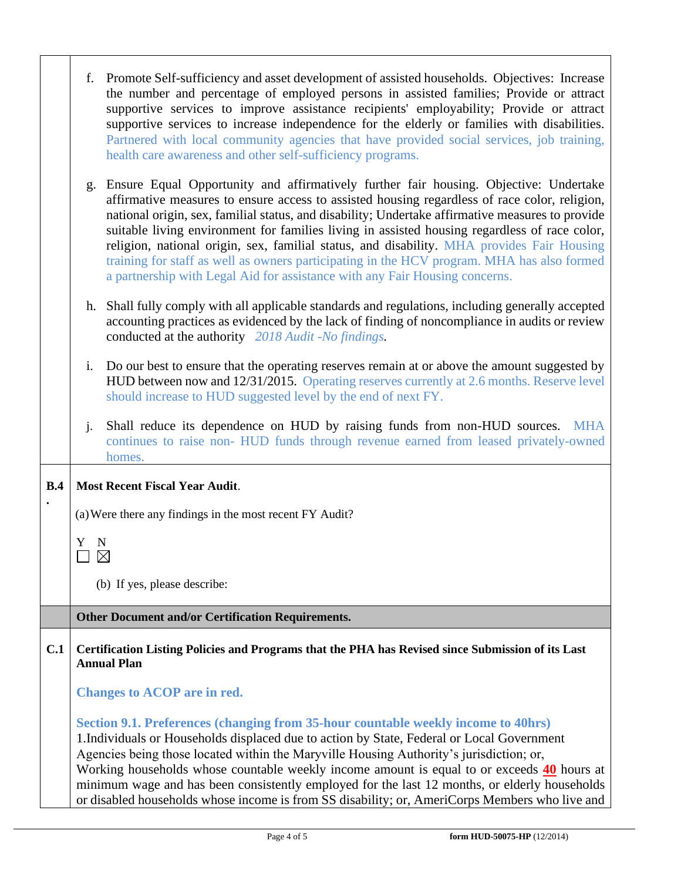|     | f. | Promote Self-sufficiency and asset development of assisted households. Objectives: Increase<br>the number and percentage of employed persons in assisted families; Provide or attract<br>supportive services to improve assistance recipients' employability; Provide or attract<br>supportive services to increase independence for the elderly or families with disabilities.<br>Partnered with local community agencies that have provided social services, job training,<br>health care awareness and other self-sufficiency programs.                                                                                                                             |
|-----|----|------------------------------------------------------------------------------------------------------------------------------------------------------------------------------------------------------------------------------------------------------------------------------------------------------------------------------------------------------------------------------------------------------------------------------------------------------------------------------------------------------------------------------------------------------------------------------------------------------------------------------------------------------------------------|
|     | g. | Ensure Equal Opportunity and affirmatively further fair housing. Objective: Undertake<br>affirmative measures to ensure access to assisted housing regardless of race color, religion,<br>national origin, sex, familial status, and disability; Undertake affirmative measures to provide<br>suitable living environment for families living in assisted housing regardless of race color,<br>religion, national origin, sex, familial status, and disability. MHA provides Fair Housing<br>training for staff as well as owners participating in the HCV program. MHA has also formed<br>a partnership with Legal Aid for assistance with any Fair Housing concerns. |
|     |    | h. Shall fully comply with all applicable standards and regulations, including generally accepted<br>accounting practices as evidenced by the lack of finding of noncompliance in audits or review<br>conducted at the authority 2018 Audit -No findings.                                                                                                                                                                                                                                                                                                                                                                                                              |
|     | i. | Do our best to ensure that the operating reserves remain at or above the amount suggested by<br>HUD between now and 12/31/2015. Operating reserves currently at 2.6 months. Reserve level<br>should increase to HUD suggested level by the end of next FY.                                                                                                                                                                                                                                                                                                                                                                                                             |
|     | j. | Shall reduce its dependence on HUD by raising funds from non-HUD sources.<br><b>MHA</b><br>continues to raise non- HUD funds through revenue earned from leased privately-owned<br>homes.                                                                                                                                                                                                                                                                                                                                                                                                                                                                              |
| B.4 |    | <b>Most Recent Fiscal Year Audit.</b>                                                                                                                                                                                                                                                                                                                                                                                                                                                                                                                                                                                                                                  |
|     |    | (a) Were there any findings in the most recent FY Audit?                                                                                                                                                                                                                                                                                                                                                                                                                                                                                                                                                                                                               |
|     | Y  | $\mathbf N$<br>$\boxtimes$                                                                                                                                                                                                                                                                                                                                                                                                                                                                                                                                                                                                                                             |
|     |    | (b) If yes, please describe:                                                                                                                                                                                                                                                                                                                                                                                                                                                                                                                                                                                                                                           |
|     |    | <b>Other Document and/or Certification Requirements.</b>                                                                                                                                                                                                                                                                                                                                                                                                                                                                                                                                                                                                               |
| C.1 |    | Certification Listing Policies and Programs that the PHA has Revised since Submission of its Last<br><b>Annual Plan</b>                                                                                                                                                                                                                                                                                                                                                                                                                                                                                                                                                |
|     |    | <b>Changes to ACOP</b> are in red.                                                                                                                                                                                                                                                                                                                                                                                                                                                                                                                                                                                                                                     |
|     |    | Section 9.1. Preferences (changing from 35-hour countable weekly income to 40hrs)<br>1. Individuals or Households displaced due to action by State, Federal or Local Government<br>Agencies being those located within the Maryville Housing Authority's jurisdiction; or,<br>Working households whose countable weekly income amount is equal to or exceeds 40 hours at<br>minimum wage and has been consistently employed for the last 12 months, or elderly households<br>or disabled households whose income is from SS disability; or, AmeriCorps Members who live and                                                                                            |

Τ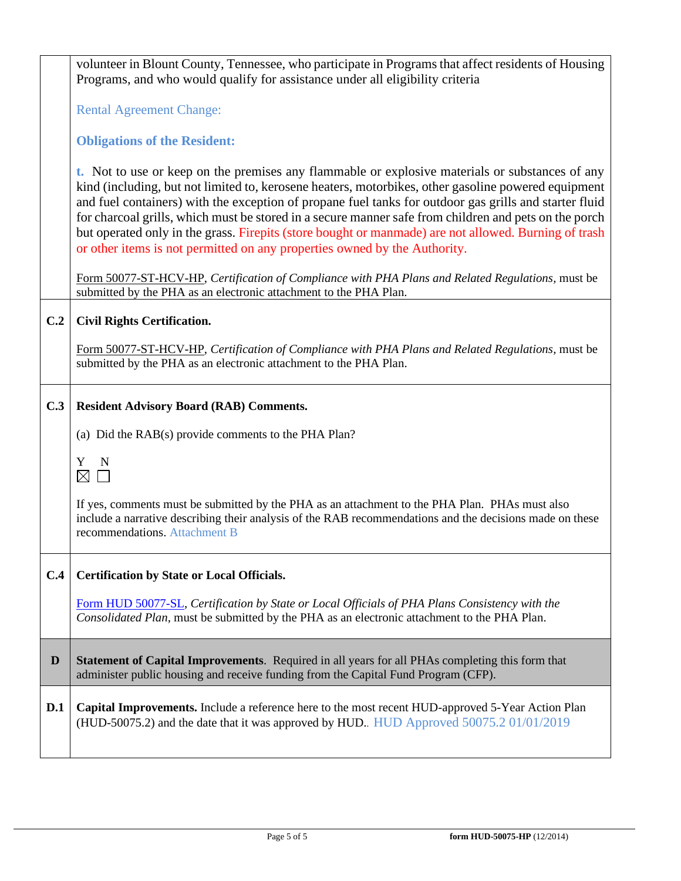|     | volunteer in Blount County, Tennessee, who participate in Programs that affect residents of Housing<br>Programs, and who would qualify for assistance under all eligibility criteria                                                                                                                                                                                                                                                                                                                                                                                                                           |
|-----|----------------------------------------------------------------------------------------------------------------------------------------------------------------------------------------------------------------------------------------------------------------------------------------------------------------------------------------------------------------------------------------------------------------------------------------------------------------------------------------------------------------------------------------------------------------------------------------------------------------|
|     | <b>Rental Agreement Change:</b>                                                                                                                                                                                                                                                                                                                                                                                                                                                                                                                                                                                |
|     | <b>Obligations of the Resident:</b>                                                                                                                                                                                                                                                                                                                                                                                                                                                                                                                                                                            |
|     | t. Not to use or keep on the premises any flammable or explosive materials or substances of any<br>kind (including, but not limited to, kerosene heaters, motorbikes, other gasoline powered equipment<br>and fuel containers) with the exception of propane fuel tanks for outdoor gas grills and starter fluid<br>for charcoal grills, which must be stored in a secure manner safe from children and pets on the porch<br>but operated only in the grass. Firepits (store bought or manmade) are not allowed. Burning of trash<br>or other items is not permitted on any properties owned by the Authority. |
|     | Form 50077-ST-HCV-HP, Certification of Compliance with PHA Plans and Related Regulations, must be<br>submitted by the PHA as an electronic attachment to the PHA Plan.                                                                                                                                                                                                                                                                                                                                                                                                                                         |
| C.2 | <b>Civil Rights Certification.</b>                                                                                                                                                                                                                                                                                                                                                                                                                                                                                                                                                                             |
|     | Form 50077-ST-HCV-HP, Certification of Compliance with PHA Plans and Related Regulations, must be<br>submitted by the PHA as an electronic attachment to the PHA Plan.                                                                                                                                                                                                                                                                                                                                                                                                                                         |
| C.3 | <b>Resident Advisory Board (RAB) Comments.</b>                                                                                                                                                                                                                                                                                                                                                                                                                                                                                                                                                                 |
|     | (a) Did the RAB(s) provide comments to the PHA Plan?                                                                                                                                                                                                                                                                                                                                                                                                                                                                                                                                                           |
|     | Y N<br>$\boxtimes$ $\Box$                                                                                                                                                                                                                                                                                                                                                                                                                                                                                                                                                                                      |
|     | If yes, comments must be submitted by the PHA as an attachment to the PHA Plan. PHAs must also<br>include a narrative describing their analysis of the RAB recommendations and the decisions made on these<br>recommendations. Attachment B                                                                                                                                                                                                                                                                                                                                                                    |
| C.4 | <b>Certification by State or Local Officials.</b>                                                                                                                                                                                                                                                                                                                                                                                                                                                                                                                                                              |
|     | Form HUD 50077-SL, Certification by State or Local Officials of PHA Plans Consistency with the<br>Consolidated Plan, must be submitted by the PHA as an electronic attachment to the PHA Plan.                                                                                                                                                                                                                                                                                                                                                                                                                 |
| D   | <b>Statement of Capital Improvements.</b> Required in all years for all PHAs completing this form that<br>administer public housing and receive funding from the Capital Fund Program (CFP).                                                                                                                                                                                                                                                                                                                                                                                                                   |
| D.1 | Capital Improvements. Include a reference here to the most recent HUD-approved 5-Year Action Plan<br>(HUD-50075.2) and the date that it was approved by HUD. HUD Approved 50075.2 01/01/2019                                                                                                                                                                                                                                                                                                                                                                                                                   |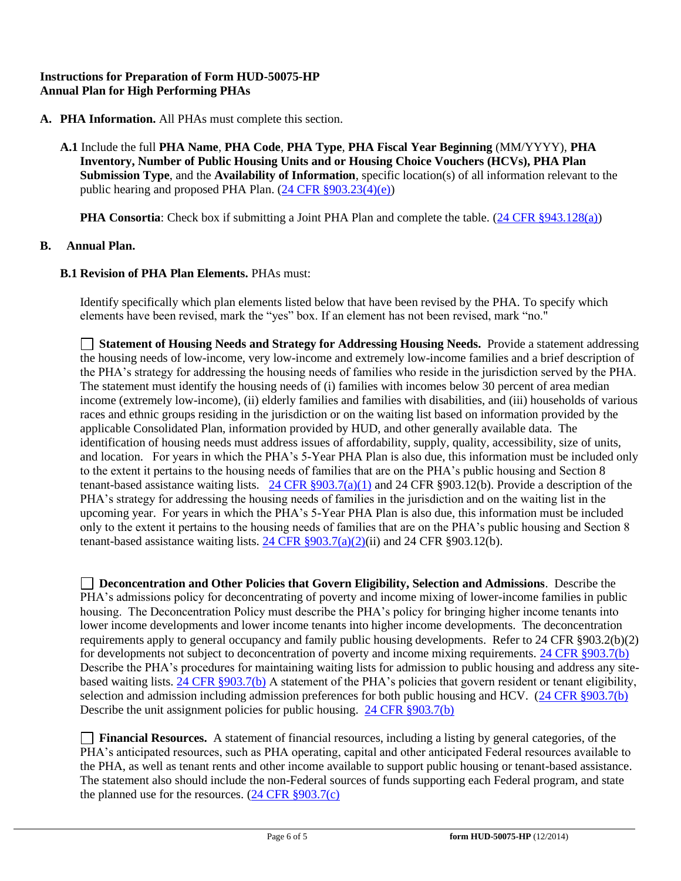## **Instructions for Preparation of Form HUD-50075-HP Annual Plan for High Performing PHAs**

- **A. PHA Information.** All PHAs must complete this section.
	- **A.1** Include the full **PHA Name**, **PHA Code**, **PHA Type**, **PHA Fiscal Year Beginning** (MM/YYYY), **PHA Inventory, Number of Public Housing Units and or Housing Choice Vouchers (HCVs), PHA Plan Submission Type**, and the **Availability of Information**, specific location(s) of all information relevant to the public hearing and proposed PHA Plan. [\(24 CFR §903.23\(4\)\(e\)\)](http://ecfr.gpoaccess.gov/cgi/t/text/text-idx?c=ecfr&sid=13734845220744370804c20da2294a03&rgn=div5&view=text&node=24:4.0.3.1.3&idno=24#24:4.0.3.1.3.2.5.14)

**PHA Consortia**: Check box if submitting a Joint PHA Plan and complete the table. [\(24 CFR §943.128\(a\)\)](http://ecfr.gpoaccess.gov/cgi/t/text/text-idx?c=ecfr&sid=cc31cf1c3a2b84ba4ead75d35d258f67&rgn=div5&view=text&node=24:4.0.3.1.10&idno=24#24:4.0.3.1.10.2.5.7)

### **B. Annual Plan.**

### **B.1 Revision of PHA Plan Elements. PHAs must:**

Identify specifically which plan elements listed below that have been revised by the PHA. To specify which elements have been revised, mark the "yes" box. If an element has not been revised, mark "no."

 **Statement of Housing Needs and Strategy for Addressing Housing Needs.** Provide a statement addressing the housing needs of low-income, very low-income and extremely low-income families and a brief description of the PHA's strategy for addressing the housing needs of families who reside in the jurisdiction served by the PHA. The statement must identify the housing needs of (i) families with incomes below 30 percent of area median income (extremely low-income), (ii) elderly families and families with disabilities, and (iii) households of various races and ethnic groups residing in the jurisdiction or on the waiting list based on information provided by the applicable Consolidated Plan, information provided by HUD, and other generally available data. The identification of housing needs must address issues of affordability, supply, quality, accessibility, size of units, and location. For years in which the PHA's 5-Year PHA Plan is also due, this information must be included only to the extent it pertains to the housing needs of families that are on the PHA's public housing and Section 8 tenant-based assistance waiting lists.  $24 \text{ CFR } \frac{8903.7(a)(1)}{24 \text{ CFR } \frac{8903.12(b)}{24 \text{ CFR } \frac{6903.12(b)}{24}}$ . Provide a description of the PHA's strategy for addressing the housing needs of families in the jurisdiction and on the waiting list in the upcoming year. For years in which the PHA's 5-Year PHA Plan is also due, this information must be included only to the extent it pertains to the housing needs of families that are on the PHA's public housing and Section 8 tenant-based assistance waiting lists. 24 CFR  $\S 903.7(a)(2)(ii)$  and 24 CFR  $\S 903.12(b)$ .

 **Deconcentration and Other Policies that Govern Eligibility, Selection and Admissions**. Describe the PHA's admissions policy for deconcentrating of poverty and income mixing of lower-income families in public housing. The Deconcentration Policy must describe the PHA's policy for bringing higher income tenants into lower income developments and lower income tenants into higher income developments. The deconcentration requirements apply to general occupancy and family public housing developments. Refer to 24 CFR §903.2(b)(2) for developments not subject to deconcentration of poverty and income mixing requirements. 24 CFR §903.7(b) Describe the PHA's procedures for maintaining waiting lists for admission to public housing and address any sitebased waiting lists.  $\frac{24 \text{ CFR } $903.7(b)}$  A statement of the PHA's policies that govern resident or tenant eligibility, selection and admission including admission preferences for both public housing and HCV. [\(24 CFR §903.7\(b\)](http://ecfr.gpoaccess.gov/cgi/t/text/text-idx?c=ecfr&sid=b44bf19bef93dd31287608d2c687e271&rgn=div5&view=text&node=24:4.0.3.1.3&idno=24#24:4.0.3.1.3.2.5.5) Describe the unit assignment policies for public housing. [24 CFR §903.7\(b\)](http://ecfr.gpoaccess.gov/cgi/t/text/text-idx?c=ecfr&sid=b44bf19bef93dd31287608d2c687e271&rgn=div5&view=text&node=24:4.0.3.1.3&idno=24#24:4.0.3.1.3.2.5.5)

 **Financial Resources.** A statement of financial resources, including a listing by general categories, of the PHA's anticipated resources, such as PHA operating, capital and other anticipated Federal resources available to the PHA, as well as tenant rents and other income available to support public housing or tenant-based assistance. The statement also should include the non-Federal sources of funds supporting each Federal program, and state the planned use for the resources.  $(24 \text{ CFR } \text{\textless} 903.7(c))$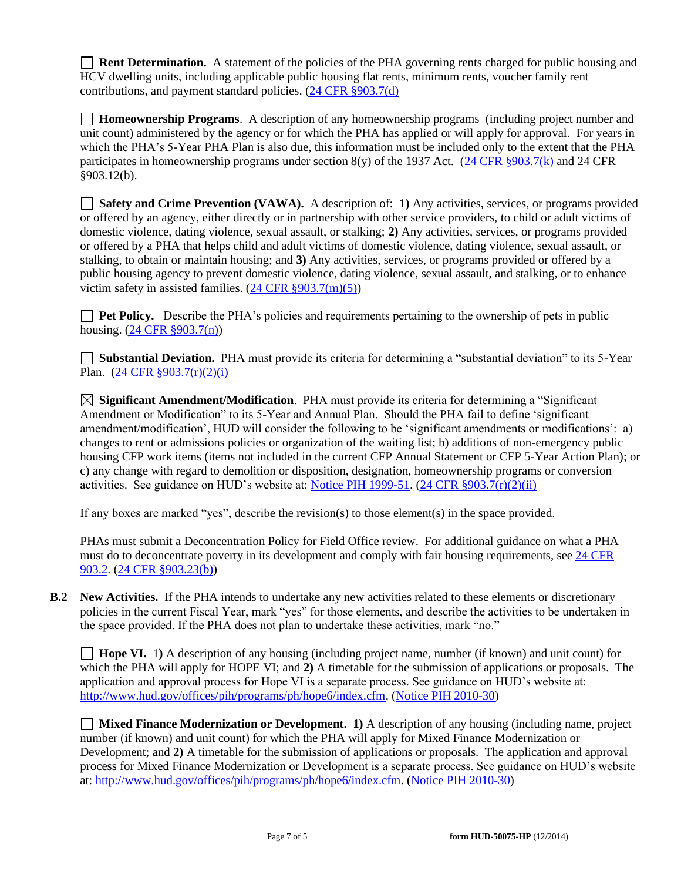**Rent Determination.** A statement of the policies of the PHA governing rents charged for public housing and HCV dwelling units, including applicable public housing flat rents, minimum rents, voucher family rent contributions, and payment standard policies. [\(24 CFR §903.7\(d\)](http://ecfr.gpoaccess.gov/cgi/t/text/text-idx?c=ecfr&sid=b44bf19bef93dd31287608d2c687e271&rgn=div5&view=text&node=24:4.0.3.1.3&idno=24#24:4.0.3.1.3.2.5.5)

 **Homeownership Programs**. A description of any homeownership programs (including project number and unit count) administered by the agency or for which the PHA has applied or will apply for approval. For years in which the PHA's 5-Year PHA Plan is also due, this information must be included only to the extent that the PHA participates in homeownership programs under section  $8(y)$  of the 1937 Act. (24 CFR  $8903.7(k)$  and 24 CFR §903.12(b).

 **Safety and Crime Prevention (VAWA).** A description of: **1)** Any activities, services, or programs provided or offered by an agency, either directly or in partnership with other service providers, to child or adult victims of domestic violence, dating violence, sexual assault, or stalking; **2)** Any activities, services, or programs provided or offered by a PHA that helps child and adult victims of domestic violence, dating violence, sexual assault, or stalking, to obtain or maintain housing; and **3)** Any activities, services, or programs provided or offered by a public housing agency to prevent domestic violence, dating violence, sexual assault, and stalking, or to enhance victim safety in assisted families.  $(24 \text{ CFR } \frac{8903.7 \text{(m)}(5)}{24 \text{ CFR } \frac{8903.7 \text{(m)}(5)}{24 \text{ CFR } \frac{8903.7 \text{(m)}(5)}{24 \text{ CFR } \frac{8903.7 \text{(m)}(5)}{24 \text{ CFR } \frac{8903.7 \text{(m)}(5)}{24 \text{ CFR } \frac{8903.7 \text{(m)}(5)}{24 \text{ CFR } \frac{8903.7 \text{(m)}(5)}{2$ 

**Pet Policy.** Describe the PHA's policies and requirements pertaining to the ownership of pets in public housing. [\(24 CFR §903.7\(n\)\)](http://ecfr.gpoaccess.gov/cgi/t/text/text-idx?c=ecfr&sid=13734845220744370804c20da2294a03&rgn=div5&view=text&node=24:4.0.3.1.3&idno=24#24:4.0.3.1.3.2.5.5)

 **Substantial Deviation.** PHA must provide its criteria for determining a "substantial deviation" to its 5-Year Plan. [\(24 CFR §903.7\(r\)\(2\)\(i\)](http://ecfr.gpoaccess.gov/cgi/t/text/text-idx?c=ecfr&sid=13734845220744370804c20da2294a03&rgn=div5&view=text&node=24:4.0.3.1.3&idno=24#24:4.0.3.1.3.2.5.5) 

 **Significant Amendment/Modification**. PHA must provide its criteria for determining a "Significant Amendment or Modification" to its 5-Year and Annual Plan. Should the PHA fail to define 'significant amendment/modification', HUD will consider the following to be 'significant amendments or modifications': a) changes to rent or admissions policies or organization of the waiting list; b) additions of non-emergency public housing CFP work items (items not included in the current CFP Annual Statement or CFP 5-Year Action Plan); or c) any change with regard to demolition or disposition, designation, homeownership programs or conversion activities. See guidance on HUD's website at: [Notice PIH 1999-51.](http://portal.hud.gov/hudportal/HUD?src=/program_offices/administration/hudclips/notices/pih) [\(24 CFR §903.7\(r\)\(2\)\(ii\)](http://ecfr.gpoaccess.gov/cgi/t/text/text-idx?c=ecfr&sid=13734845220744370804c20da2294a03&rgn=div5&view=text&node=24:4.0.3.1.3&idno=24#24:4.0.3.1.3.2.5.5) 

If any boxes are marked "yes", describe the revision(s) to those element(s) in the space provided.

PHAs must submit a Deconcentration Policy for Field Office review. For additional guidance on what a PHA must do to deconcentrate poverty in its development and comply with fair housing requirements, see [24 CFR](http://ecfr.gpoaccess.gov/cgi/t/text/text-idx?c=ecfr&sid=31b6a8e6f1110b36cc115eb6e4d5e3b4&rgn=div5&view=text&node=24:4.0.3.1.3&idno=24#24:4.0.3.1.3.1.5.2)  [903.2.](http://ecfr.gpoaccess.gov/cgi/t/text/text-idx?c=ecfr&sid=31b6a8e6f1110b36cc115eb6e4d5e3b4&rgn=div5&view=text&node=24:4.0.3.1.3&idno=24#24:4.0.3.1.3.1.5.2) [\(24 CFR §903.23\(b\)\)](http://ecfr.gpoaccess.gov/cgi/t/text/text-idx?c=ecfr&sid=13734845220744370804c20da2294a03&rgn=div5&view=text&node=24:4.0.3.1.3&idno=24#24:4.0.3.1.3.2.5.9)

**B.2 New Activities.** If the PHA intends to undertake any new activities related to these elements or discretionary policies in the current Fiscal Year, mark "yes" for those elements, and describe the activities to be undertaken in the space provided. If the PHA does not plan to undertake these activities, mark "no."

**Hope VI.** 1) A description of any housing (including project name, number (if known) and unit count) for which the PHA will apply for HOPE VI; and **2)** A timetable for the submission of applications or proposals. The application and approval process for Hope VI is a separate process. See guidance on HUD's website at: [http://www.hud.gov/offices/pih/programs/ph/hope6/index.cfm.](http://www.hud.gov/offices/pih/programs/ph/hope6/index.cfm) [\(Notice PIH 2010-30\)](http://www.hud.gov/offices/adm/hudclips/notices/pih/07pihnotices.cfm)

 **Mixed Finance Modernization or Development. 1)** A description of any housing (including name, project number (if known) and unit count) for which the PHA will apply for Mixed Finance Modernization or Development; and **2)** A timetable for the submission of applications or proposals. The application and approval process for Mixed Finance Modernization or Development is a separate process. See guidance on HUD's website at[: http://www.hud.gov/offices/pih/programs/ph/hope6/index.cfm.](http://www.hud.gov/offices/pih/programs/ph/hope6/index.cfm) [\(Notice PIH 2010-30\)](http://www.hud.gov/offices/adm/hudclips/notices/pih/07pihnotices.cfm)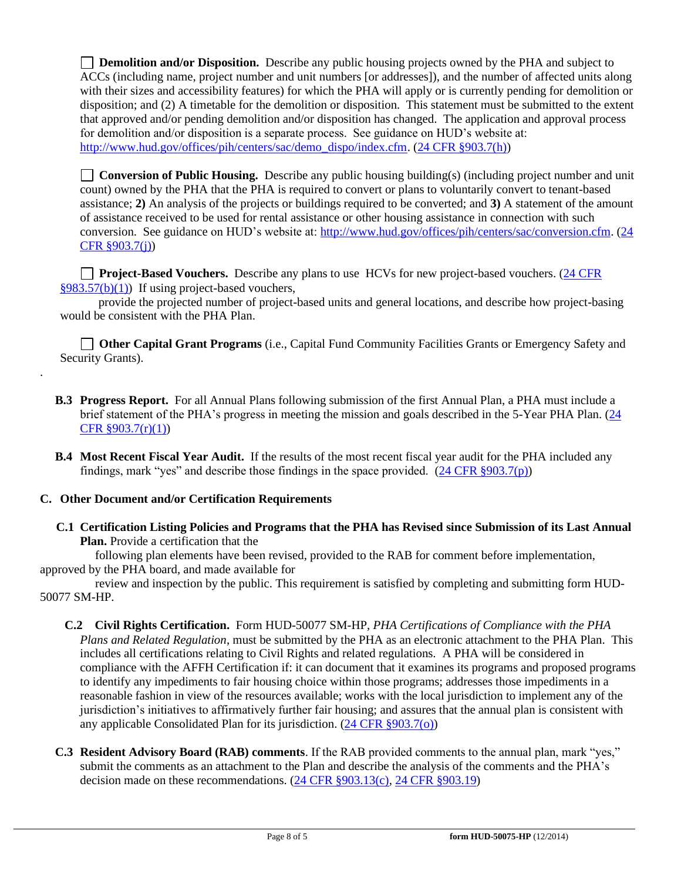**Demolition and/or Disposition.** Describe any public housing projects owned by the PHA and subject to ACCs (including name, project number and unit numbers [or addresses]), and the number of affected units along with their sizes and accessibility features) for which the PHA will apply or is currently pending for demolition or disposition; and (2) A timetable for the demolition or disposition. This statement must be submitted to the extent that approved and/or pending demolition and/or disposition has changed. The application and approval process for demolition and/or disposition is a separate process. See guidance on HUD's website at: [http://www.hud.gov/offices/pih/centers/sac/demo\\_dispo/index.cfm.](http://www.hud.gov/offices/pih/centers/sac/demo_dispo/index.cfm) [\(24 CFR §903.7\(h\)\)](http://ecfr.gpoaccess.gov/cgi/t/text/text-idx?c=ecfr&sid=13734845220744370804c20da2294a03&rgn=div5&view=text&node=24:4.0.3.1.3&idno=24#24:4.0.3.1.3.2.5.5)

**Conversion of Public Housing.** Describe any public housing building(s) (including project number and unit count) owned by the PHA that the PHA is required to convert or plans to voluntarily convert to tenant-based assistance; **2)** An analysis of the projects or buildings required to be converted; and **3)** A statement of the amount of assistance received to be used for rental assistance or other housing assistance in connection with such conversion. See guidance on HUD's website at: [http://www.hud.gov/offices/pih/centers/sac/conversion.cfm.](http://www.hud.gov/offices/pih/centers/sac/conversion.cfm) [\(24](http://ecfr.gpoaccess.gov/cgi/t/text/text-idx?c=ecfr&sid=13734845220744370804c20da2294a03&rgn=div5&view=text&node=24:4.0.3.1.3&idno=24#24:4.0.3.1.3.2.5.5)  [CFR §903.7\(j\)\)](http://ecfr.gpoaccess.gov/cgi/t/text/text-idx?c=ecfr&sid=13734845220744370804c20da2294a03&rgn=div5&view=text&node=24:4.0.3.1.3&idno=24#24:4.0.3.1.3.2.5.5)

**Project-Based Vouchers.** Describe any plans to use HCVs for new project-based vouchers. (24 CFR  $§983.57(b)(1)$  If using project-based vouchers,

 provide the projected number of project-based units and general locations, and describe how project-basing would be consistent with the PHA Plan.

 **Other Capital Grant Programs** (i.e., Capital Fund Community Facilities Grants or Emergency Safety and Security Grants).

- **B.3 Progress Report.** For all Annual Plans following submission of the first Annual Plan, a PHA must include a brief statement of the PHA's progress in meeting the mission and goals described in the 5-Year PHA Plan. [\(24](http://ecfr.gpoaccess.gov/cgi/t/text/text-idx?c=ecfr&sid=663ef5e048922c731853f513acbdfa81&rgn=div5&view=text&node=24:4.0.3.1.3&idno=24#24:4.0.3.1.3.2.5.5)  [CFR §903.7\(r\)\(1\)\)](http://ecfr.gpoaccess.gov/cgi/t/text/text-idx?c=ecfr&sid=663ef5e048922c731853f513acbdfa81&rgn=div5&view=text&node=24:4.0.3.1.3&idno=24#24:4.0.3.1.3.2.5.5)
- **B.4 Most Recent Fiscal Year Audit.** If the results of the most recent fiscal year audit for the PHA included any findings, mark "yes" and describe those findings in the space provided.  $(24 \text{ CFR } \text{S}903.7(p))$

## **C. Other Document and/or Certification Requirements**

.

 **C.1 Certification Listing Policies and Programs that the PHA has Revised since Submission of its Last Annual Plan.** Provide a certification that the

 following plan elements have been revised, provided to the RAB for comment before implementation, approved by the PHA board, and made available for

 review and inspection by the public. This requirement is satisfied by completing and submitting form HUD-50077 SM-HP.

- **C.2 Civil Rights Certification.** Form HUD-50077 SM-HP, *PHA Certifications of Compliance with the PHA Plans and Related Regulation*, must be submitted by the PHA as an electronic attachment to the PHA Plan. This includes all certifications relating to Civil Rights and related regulations. A PHA will be considered in compliance with the AFFH Certification if: it can document that it examines its programs and proposed programs to identify any impediments to fair housing choice within those programs; addresses those impediments in a reasonable fashion in view of the resources available; works with the local jurisdiction to implement any of the jurisdiction's initiatives to affirmatively further fair housing; and assures that the annual plan is consistent with any applicable Consolidated Plan for its jurisdiction. [\(24 CFR §903.7\(o\)\)](http://ecfr.gpoaccess.gov/cgi/t/text/text-idx?c=ecfr&sid=13734845220744370804c20da2294a03&rgn=div5&view=text&node=24:4.0.3.1.3&idno=24#24:4.0.3.1.3.2.5.5)
- **C.3 Resident Advisory Board (RAB) comments**. If the RAB provided comments to the annual plan, mark "yes," submit the comments as an attachment to the Plan and describe the analysis of the comments and the PHA's decision made on these recommendations. [\(24 CFR §903.13\(c\),](http://ecfr.gpoaccess.gov/cgi/t/text/text-idx?c=ecfr&sid=13734845220744370804c20da2294a03&rgn=div5&view=text&node=24:4.0.3.1.3&idno=24#24:4.0.3.1.3.2.5.9) [24 CFR §903.19\)](http://ecfr.gpoaccess.gov/cgi/t/text/text-idx?c=ecfr&sid=f41eb312b1425d2a95a2478fde61e11f&rgn=div5&view=text&node=24:4.0.3.1.3&idno=24#24:4.0.3.1.3.2.5.12)